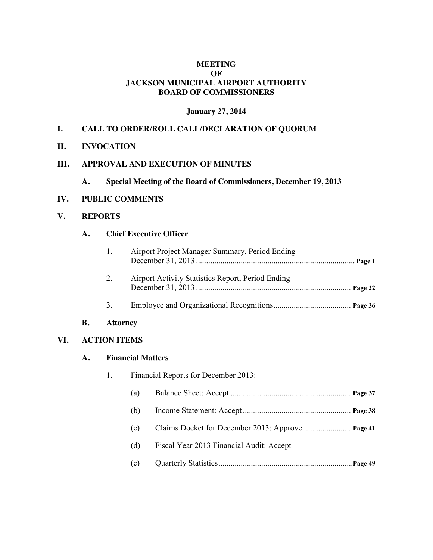#### **MEETING OF JACKSON MUNICIPAL AIRPORT AUTHORITY BOARD OF COMMISSIONERS**

#### **January 27, 2014**

#### **I. CALL TO ORDER/ROLL CALL/DECLARATION OF QUORUM**

**II. INVOCATION**

#### **III. APPROVAL AND EXECUTION OF MINUTES**

**A. Special Meeting of the Board of Commissioners, December 19, 2013**

#### **IV. PUBLIC COMMENTS**

#### **V. REPORTS**

#### **A. Chief Executive Officer**

| $\mathbf{1}$ . | Airport Project Manager Summary, Period Ending    |  |
|----------------|---------------------------------------------------|--|
| 2.             | Airport Activity Statistics Report, Period Ending |  |
|                |                                                   |  |

# **B. Attorney**

#### **VI. ACTION ITEMS**

#### **A. Financial Matters**

1. Financial Reports for December 2013:

## (a) Balance Sheet: Accept ........................................................... **Page 37**

- (b) Income Statement: Accept ..................................................... **Page 38**
- (c) Claims Docket for December 2013: Approve ....................... **Page 41**
- (d) Fiscal Year 2013 Financial Audit: Accept
- (e) Quarterly Statistics..................................................................**Page 49**